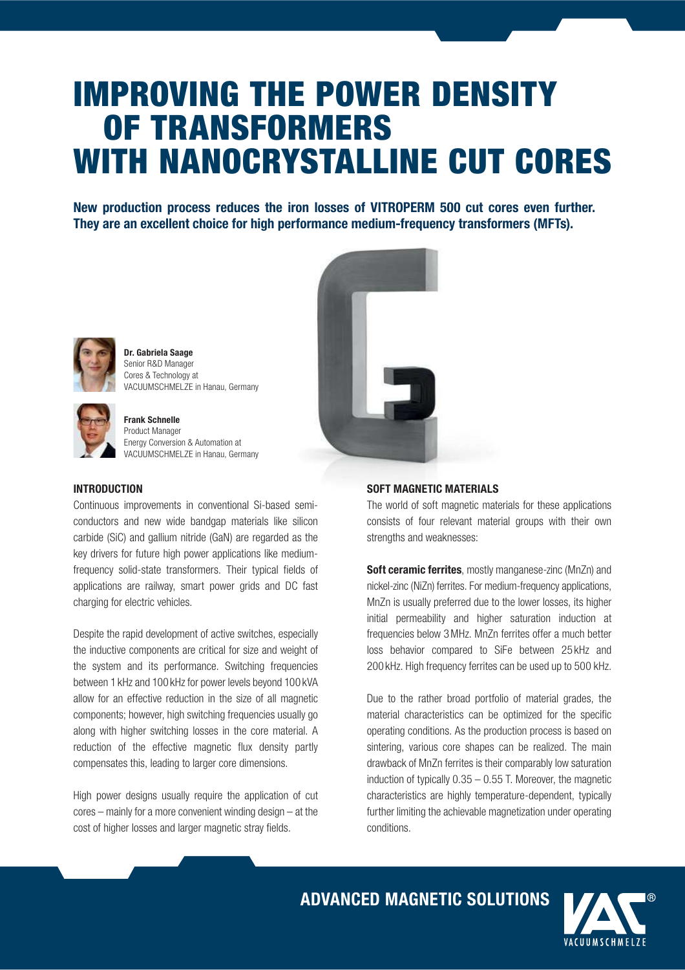# IMPROVING THE POWER DENSITY OF TRANSFORMERS WITH NANOCRYSTALLINE CUT CORES

New production process reduces the iron losses of VITROPERM 500 cut cores even further. They are an excellent choice for high performance medium-frequency transformers (MFTs).



Dr. Gabriela Saage Senior R&D Manager Cores & Technology at VACUUMSCHMELZE in Hanau, Germany



Frank Schnelle Product Manager Energy Conversion & Automation at VACUUMSCHMELZE in Hanau, Germany



#### **INTRODUCTION**

Continuous improvements in conventional Si-based semiconductors and new wide bandgap materials like silicon carbide (SiC) and gallium nitride (GaN) are regarded as the key drivers for future high power applications like mediumfrequency solid-state transformers. Their typical fields of applications are railway, smart power grids and DC fast charging for electric vehicles.

Despite the rapid development of active switches, especially the inductive components are critical for size and weight of the system and its performance. Switching frequencies between 1 kHz and 100 kHz for power levels beyond 100 kVA allow for an effective reduction in the size of all magnetic components; however, high switching frequencies usually go along with higher switching losses in the core material. A reduction of the effective magnetic flux density partly compensates this, leading to larger core dimensions.

High power designs usually require the application of cut cores – mainly for a more convenient winding design – at the cost of higher losses and larger magnetic stray fields.

#### SOFT MAGNETIC MATERIALS

The world of soft magnetic materials for these applications consists of four relevant material groups with their own strengths and weaknesses:

Soft ceramic ferrites, mostly manganese-zinc (MnZn) and nickel-zinc (NiZn) ferrites. For medium-frequency applications, MnZn is usually preferred due to the lower losses, its higher initial permeability and higher saturation induction at frequencies below 3 MHz. MnZn ferrites offer a much better loss behavior compared to SiFe between 25 kHz and 200 kHz. High frequency ferrites can be used up to 500 kHz.

Due to the rather broad portfolio of material grades, the material characteristics can be optimized for the specific operating conditions. As the production process is based on sintering, various core shapes can be realized. The main drawback of MnZn ferrites is their comparably low saturation induction of typically  $0.35 - 0.55$  T. Moreover, the magnetic characteristics are highly temperature-dependent, typically further limiting the achievable magnetization under operating conditions.

ADVANCED MAGNETIC SOLUTIONS

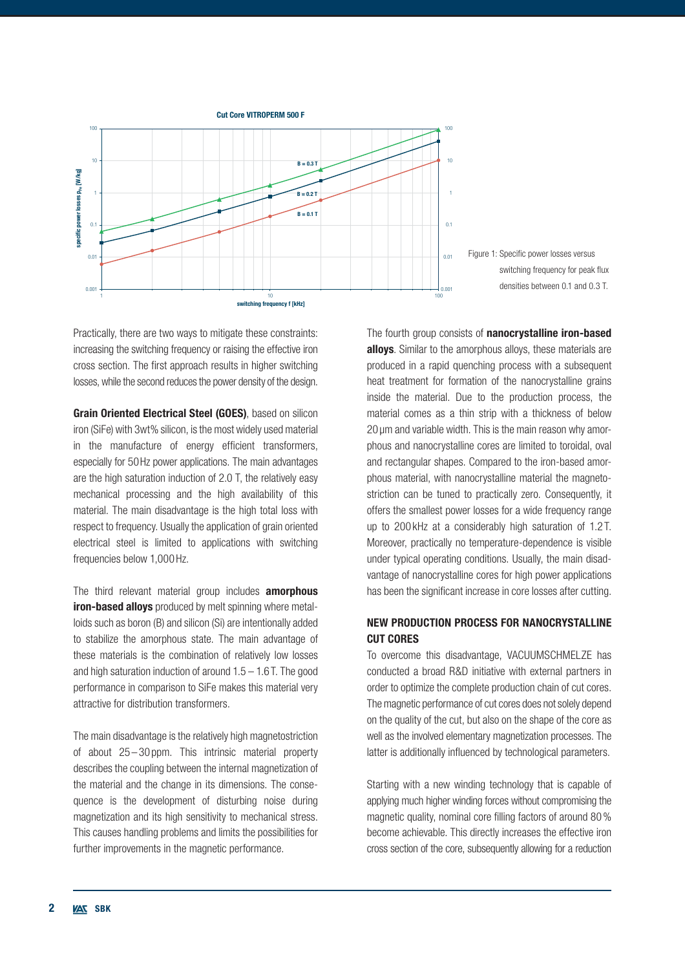



Practically, there are two ways to mitigate these constraints: increasing the switching frequency or raising the effective iron cross section. The first approach results in higher switching losses, while the second reduces the power density of the design.

Grain Oriented Electrical Steel (GOES), based on silicon iron (SiFe) with 3wt% silicon, is the most widely used material in the manufacture of energy efficient transformers, especially for 50 Hz power applications. The main advantages are the high saturation induction of 2.0 T, the relatively easy mechanical processing and the high availability of this material. The main disadvantage is the high total loss with respect to frequency. Usually the application of grain oriented electrical steel is limited to applications with switching frequencies below 1,000 Hz.

The third relevant material group includes **amorphous iron-based alloys** produced by melt spinning where metalloids such as boron (B) and silicon (Si) are intentionally added to stabilize the amorphous state. The main advantage of these materials is the combination of relatively low losses and high saturation induction of around  $1.5 - 1.6$  T. The good performance in comparison to SiFe makes this material very attractive for distribution transformers.

The main disadvantage is the relatively high magnetostriction of about 25 – 30 ppm. This intrinsic material property describes the coupling between the internal magnetization of the material and the change in its dimensions. The consequence is the development of disturbing noise during magnetization and its high sensitivity to mechanical stress. This causes handling problems and limits the possibilities for further improvements in the magnetic performance.

The fourth group consists of nanocrystalline iron-based alloys. Similar to the amorphous alloys, these materials are produced in a rapid quenching process with a subsequent heat treatment for formation of the nanocrystalline grains inside the material. Due to the production process, the material comes as a thin strip with a thickness of below 20 µm and variable width. This is the main reason why amorphous and nanocrystalline cores are limited to toroidal, oval and rectangular shapes. Compared to the iron-based amorphous material, with nanocrystalline material the magnetostriction can be tuned to practically zero. Consequently, it offers the smallest power losses for a wide frequency range up to 200 kHz at a considerably high saturation of 1.2 T. Moreover, practically no temperature-dependence is visible under typical operating conditions. Usually, the main disadvantage of nanocrystalline cores for high power applications has been the significant increase in core losses after cutting.

# NEW PRODUCTION PROCESS FOR NANOCRYSTALLINE CUT CORES

To overcome this disadvantage, VACUUMSCHMELZE has conducted a broad R&D initiative with external partners in order to optimize the complete production chain of cut cores. The magnetic performance of cut cores does not solely depend on the quality of the cut, but also on the shape of the core as well as the involved elementary magnetization processes. The latter is additionally influenced by technological parameters.

Starting with a new winding technology that is capable of applying much higher winding forces without compromising the magnetic quality, nominal core filling factors of around 80 % become achievable. This directly increases the effective iron cross section of the core, subsequently allowing for a reduction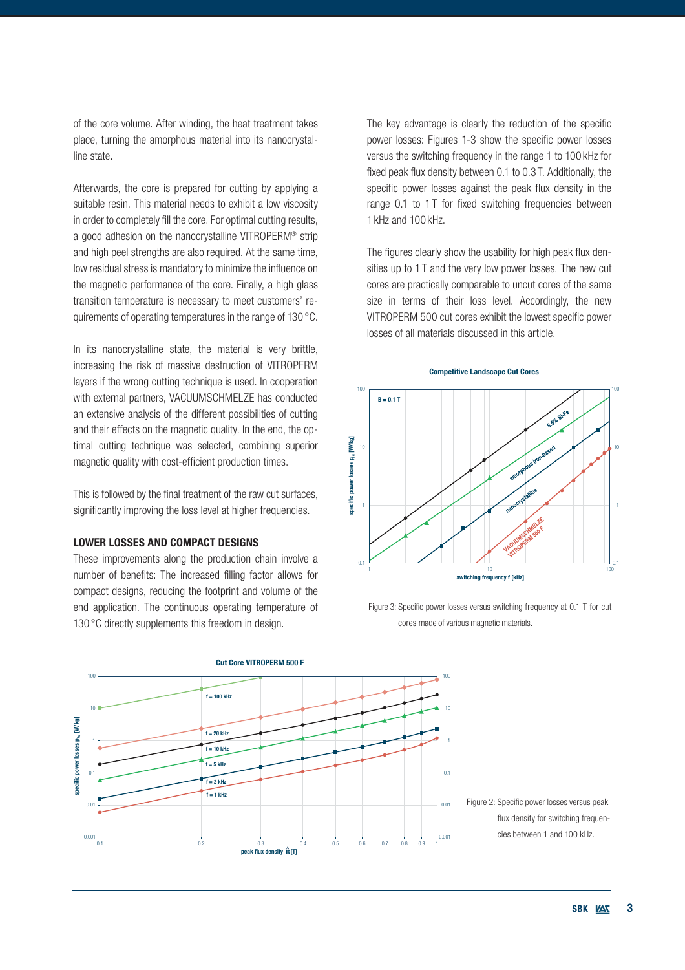of the core volume. After winding, the heat treatment takes place, turning the amorphous material into its nanocrystalline state.

Afterwards, the core is prepared for cutting by applying a suitable resin. This material needs to exhibit a low viscosity in order to completely fill the core. For optimal cutting results, a good adhesion on the nanocrystalline VITROPERM® strip and high peel strengths are also required. At the same time, low residual stress is mandatory to minimize the influence on the magnetic performance of the core. Finally, a high glass transition temperature is necessary to meet customers' requirements of operating temperatures in the range of 130 °C.

In its nanocrystalline state, the material is very brittle, increasing the risk of massive destruction of VITROPERM layers if the wrong cutting technique is used. In cooperation with external partners, VACUUMSCHMELZE has conducted an extensive analysis of the different possibilities of cutting and their effects on the magnetic quality. In the end, the optimal cutting technique was selected, combining superior magnetic quality with cost-efficient production times.

This is followed by the final treatment of the raw cut surfaces, significantly improving the loss level at higher frequencies.

#### LOWER LOSSES AND COMPACT DESIGNS

These improvements along the production chain involve a number of benefits: The increased filling factor allows for compact designs, reducing the footprint and volume of the end application. The continuous operating temperature of 130 °C directly supplements this freedom in design.

The key advantage is clearly the reduction of the specific power losses: Figures 1-3 show the specific power losses versus the switching frequency in the range 1 to 100 kHz for fixed peak flux density between 0.1 to 0.3 T. Additionally, the specific power losses against the peak flux density in the range 0.1 to 1T for fixed switching frequencies between 1 kHz and 100 kHz.

The figures clearly show the usability for high peak flux densities up to 1 T and the very low power losses. The new cut cores are practically comparable to uncut cores of the same size in terms of their loss level. Accordingly, the new VITROPERM 500 cut cores exhibit the lowest specific power losses of all materials discussed in this article.





Figure 3: Specific power losses versus switching frequency at 0.1 T for cut cores made of various magnetic materials.



Cut Core VITROPERM 500 F

Figure 2: Specific power losses versus peak flux density for switching frequencies between 1 and 100 kHz.